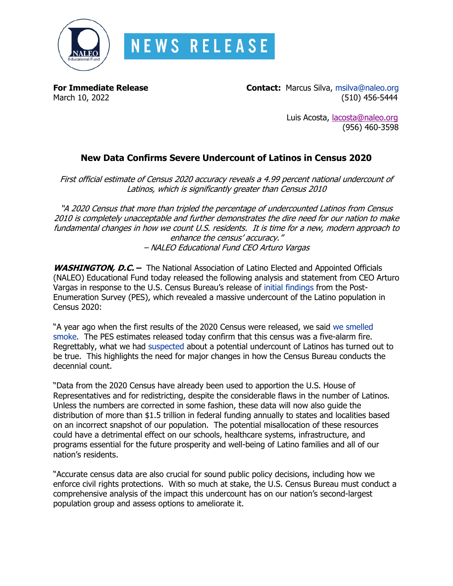

**For Immediate Release Contact:** Marcus Silva, [msilva@naleo.org](mailto:msilva@naleo.org) March 10, 2022 (510) 456-5444

> Luis Acosta, [lacosta@naleo.org](mailto:lacosta@naleo.org) (956) 460-3598

# **New Data Confirms Severe Undercount of Latinos in Census 2020**

First official estimate of Census 2020 accuracy reveals a 4.99 percent national undercount of Latinos, which is significantly greater than Census 2010

"A 2020 Census that more than tripled the percentage of undercounted Latinos from Census 2010 is completely unacceptable and further demonstrates the dire need for our nation to make fundamental changes in how we count U.S. residents. It is time for a new, modern approach to enhance the census' accuracy." – NALEO Educational Fund CEO Arturo Vargas

**WASHINGTON, D.C. –** The National Association of Latino Elected and Appointed Officials (NALEO) Educational Fund today released the following analysis and statement from CEO Arturo Vargas in response to the U.S. Census Bureau's release of [initial findings](https://www2.census.gov/programs-surveys/decennial/coverage-measurement/pes/national-census-coverage-estimates-by-demographic-characteristics.pdf) from the Post-Enumeration Survey (PES), which revealed a massive undercount of the Latino population in Census 2020:

"A year ago when the first results of the 2020 Census were released, we said [we smelled](https://www.newsweek.com/where-theres-smoke-there-might-latino-undercount-opinion-1638314)  [smoke.](https://www.newsweek.com/where-theres-smoke-there-might-latino-undercount-opinion-1638314) The PES estimates released today confirm that this census was a five-alarm fire. Regrettably, what we had [suspected](https://naleo.org/wp-content/uploads/2021/11/11_2_2021_-_NEF_Release_-_Statement_-_UI_Report_-_Final.pdf) about a potential undercount of Latinos has turned out to be true. This highlights the need for major changes in how the Census Bureau conducts the decennial count.

"Data from the 2020 Census have already been used to apportion the U.S. House of Representatives and for redistricting, despite the considerable flaws in the number of Latinos. Unless the numbers are corrected in some fashion, these data will now also guide the distribution of more than \$1.5 trillion in federal funding annually to states and localities based on an incorrect snapshot of our population. The potential misallocation of these resources could have a detrimental effect on our schools, healthcare systems, infrastructure, and programs essential for the future prosperity and well-being of Latino families and all of our nation's residents.

"Accurate census data are also crucial for sound public policy decisions, including how we enforce civil rights protections. With so much at stake, the U.S. Census Bureau must conduct a comprehensive analysis of the impact this undercount has on our nation's second-largest population group and assess options to ameliorate it.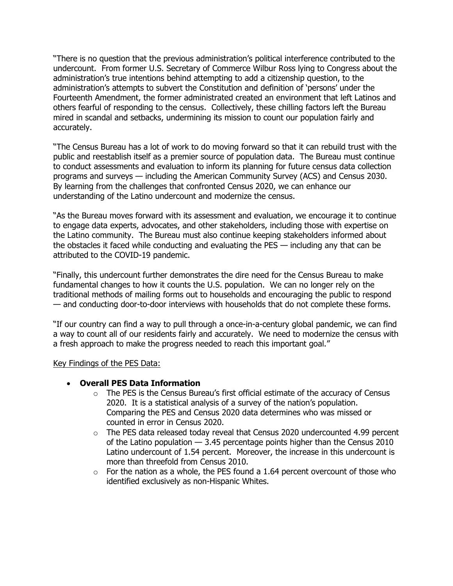"There is no question that the previous administration's political interference contributed to the undercount. From former U.S. Secretary of Commerce Wilbur Ross lying to Congress about the administration's true intentions behind attempting to add a citizenship question, to the administration's attempts to subvert the Constitution and definition of 'persons' under the Fourteenth Amendment, the former administrated created an environment that left Latinos and others fearful of responding to the census. Collectively, these chilling factors left the Bureau mired in scandal and setbacks, undermining its mission to count our population fairly and accurately.

"The Census Bureau has a lot of work to do moving forward so that it can rebuild trust with the public and reestablish itself as a premier source of population data. The Bureau must continue to conduct assessments and evaluation to inform its planning for future census data collection programs and surveys — including the American Community Survey (ACS) and Census 2030. By learning from the challenges that confronted Census 2020, we can enhance our understanding of the Latino undercount and modernize the census.

"As the Bureau moves forward with its assessment and evaluation, we encourage it to continue to engage data experts, advocates, and other stakeholders, including those with expertise on the Latino community. The Bureau must also continue keeping stakeholders informed about the obstacles it faced while conducting and evaluating the PES — including any that can be attributed to the COVID-19 pandemic.

"Finally, this undercount further demonstrates the dire need for the Census Bureau to make fundamental changes to how it counts the U.S. population. We can no longer rely on the traditional methods of mailing forms out to households and encouraging the public to respond — and conducting door-to-door interviews with households that do not complete these forms.

"If our country can find a way to pull through a once-in-a-century global pandemic, we can find a way to count all of our residents fairly and accurately. We need to modernize the census with a fresh approach to make the progress needed to reach this important goal."

#### Key Findings of the PES Data:

### • **Overall PES Data Information**

- o The PES is the Census Bureau's first official estimate of the accuracy of Census 2020. It is a statistical analysis of a survey of the nation's population. Comparing the PES and Census 2020 data determines who was missed or counted in error in Census 2020.
- $\circ$  The PES data released today reveal that Census 2020 undercounted 4.99 percent of the Latino population — 3.45 percentage points higher than the Census 2010 Latino undercount of 1.54 percent. Moreover, the increase in this undercount is more than threefold from Census 2010.
- $\circ$  For the nation as a whole, the PES found a 1.64 percent overcount of those who identified exclusively as non-Hispanic Whites.